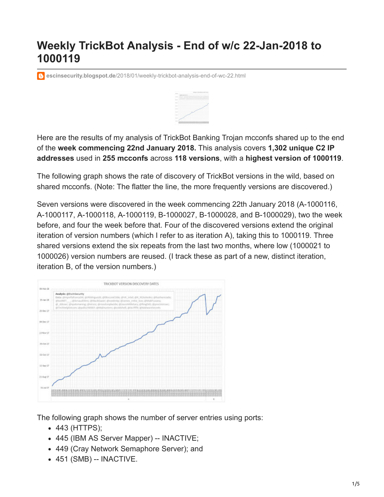## **Weekly TrickBot Analysis - End of w/c 22-Jan-2018 to 1000119**

**escinsecurity.blogspot.de**[/2018/01/weekly-trickbot-analysis-end-of-wc-22.html](https://escinsecurity.blogspot.de/2018/01/weekly-trickbot-analysis-end-of-wc-22.html)



Here are the results of my analysis of TrickBot Banking Trojan mcconfs shared up to the end of the **week commencing 22nd January 2018.** This analysis covers **1,302 unique C2 IP addresses** used in **255 mcconfs** across **118 versions**, with a **highest version of 1000119**.

The following graph shows the rate of discovery of TrickBot versions in the wild, based on shared mcconfs. (Note: The flatter the line, the more frequently versions are discovered.)

Seven versions were discovered in the week commencing 22th January 2018 (A-1000116, A-1000117, A-1000118, A-1000119, B-1000027, B-1000028, and B-1000029), two the week before, and four the week before that. Four of the discovered versions extend the original iteration of version numbers (which I refer to as iteration A), taking this to 1000119. Three shared versions extend the six repeats from the last two months, where low (1000021 to 1000026) version numbers are reused. (I track these as part of a new, distinct iteration, iteration B, of the version numbers.)



The following graph shows the number of server entries using ports:

- 443 (HTTPS);
- 445 (IBM AS Server Mapper) -- INACTIVE;
- 449 (Cray Network Semaphore Server); and
- 451 (SMB) -- INACTIVE.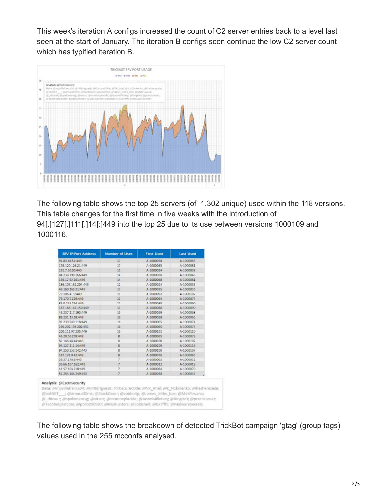This week's iteration A configs increased the count of C2 server entries back to a level last seen at the start of January. The iteration B configs seen continue the low C2 server count which has typified iteration B.



The following table shows the top 25 servers (of 1,302 unique) used within the 118 versions. This table changes for the first time in five weeks with the introduction of 94[.]127[.]111[.]14[:]449 into the top 25 due to its use between versions 1000109 and 1000116.

| 91.83.88.51:449     | 17                      | A-1000058 | A-1000063 |
|---------------------|-------------------------|-----------|-----------|
| 176.120.126.21:449  | 17                      | A-1000065 | A-1000081 |
| 191.7.30.30:443     | 15                      | A-1000024 | A-1000038 |
| 84 238 198 166 449  | 14                      | A-1000030 | A-1000046 |
| 156.17.92.161:449   | 14                      | A-1000068 | A-1000081 |
| 186 103 161 204:443 | 12                      | A-1000024 | A-1000035 |
| 46.160.165.31:443   | 11                      | A-1000025 | A-1000035 |
| 79.106.41 9:449     | 11                      | A-1000092 | A-1000102 |
| 79.170.7.139:449    | 11                      | A-1000064 | A-1000074 |
| 83.0.245.234:449    | 11                      | A-1000080 | A-1000090 |
| 187.188.162.150.449 | 11                      | A-1000080 | A-1000090 |
| 46 237 117 193 449  | 10                      | A-1000059 | A-1000068 |
| 89.231.13.38:449    | 10                      | A-1000058 | A-1000063 |
| 91 239 249 118 449  | 10                      | A-1000065 | A-1000074 |
| 196 202 194 202-451 | 10                      | A-1000065 | A-1000074 |
| 200.111.97.235:449  | 10                      | A-1000101 | A-1000110 |
| 46.20.56.239:449    | 8                       | A-1000065 | A-1000072 |
| 82 146 48 44:443    | 8                       | A-1000100 | A-1000107 |
| 94.127.111.14:449   | 8                       | A-1000109 | A-1000116 |
| 94.250.253.142.443  | $\overline{\mathbf{R}}$ | A-1000100 | A-1000107 |
| 187.191.0.42:449    | R                       | A-1000076 | A-1000083 |
| 36.37.176.6:443     | 7                       | A-1000002 | A-1000012 |
| 36.66.107.162:443   |                         | A-1000012 | A-1000019 |
| 41 57 103 218:449   |                         | A-1000064 | A-1000070 |
| 51.254.164.249.443  |                         | A-1000038 | A-1000044 |

@botNE @\_ddoxer; @spalomaresg; @virsoz; @moutonplacide; @JasonMilletary; @Ring0x0; @precisionsec; @Techhelplistcom; @pollo290987; @MalHunters; @coldshell; @0x7fff9; @MalwareSecrets

The following table shows the breakdown of detected TrickBot campaign 'gtag' (group tags) values used in the 255 mcconfs analysed.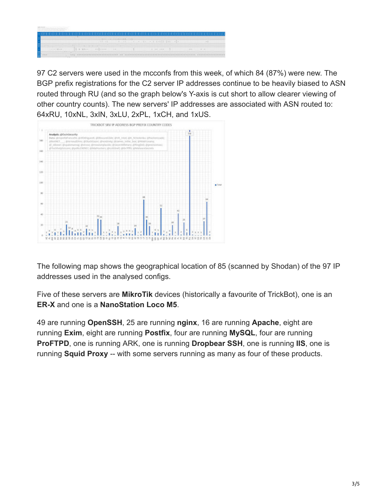|                                       | The communication of the communication of the communication of the communication of the communication of the communication of the communication of the communication of the communication of the communication of the communic | the second that the second control of the second second and the second second second second second second second second second second second second second second second second second second second second second second seco  | <b>STATISTICS</b> |
|---------------------------------------|--------------------------------------------------------------------------------------------------------------------------------------------------------------------------------------------------------------------------------|---------------------------------------------------------------------------------------------------------------------------------------------------------------------------------------------------------------------------------|-------------------|
|                                       |                                                                                                                                                                                                                                |                                                                                                                                                                                                                                 |                   |
| visited and the state of the state of |                                                                                                                                                                                                                                | $\sim$ 0.000 compared to the contract of the contract of the contract of the contract of the contract of the contract of the contract of the contract of the contract of the contract of the contract of the contract of the co |                   |
|                                       |                                                                                                                                                                                                                                |                                                                                                                                                                                                                                 |                   |

97 C2 servers were used in the mcconfs from this week, of which 84 (87%) were new. The BGP prefix registrations for the C2 server IP addresses continue to be heavily biased to ASN routed through RU (and so the graph below's Y-axis is cut short to allow clearer viewing of other country counts). The new servers' IP addresses are associated with ASN routed to: 64xRU, 10xNL, 3xIN, 3xLU, 2xPL, 1xCH, and 1xUS.



The following map shows the geographical location of 85 (scanned by Shodan) of the 97 IP addresses used in the analysed configs.

Five of these servers are **MikroTik** devices (historically a favourite of TrickBot), one is an **ER-X** and one is a **NanoStation Loco M5**.

49 are running **OpenSSH**, 25 are running **nginx**, 16 are running **Apache**, eight are running **Exim**, eight are running **Postfix**, four are running **MySQL**, four are running **ProFTPD**, one is running ARK, one is running **Dropbear SSH**, one is running **IIS**, one is running **Squid Proxy** -- with some servers running as many as four of these products.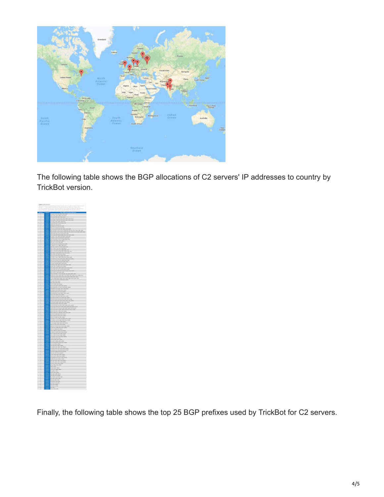

The following table shows the BGP allocations of C2 servers' IP addresses to country by TrickBot version.



Finally, the following table shows the top 25 BGP prefixes used by TrickBot for C2 servers.